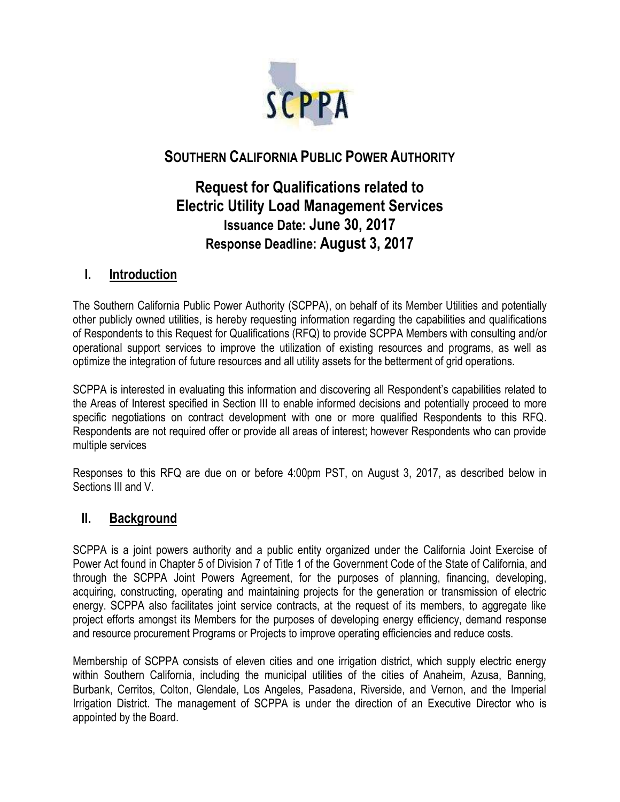

# **SOUTHERN CALIFORNIA PUBLIC POWER AUTHORITY**

# **Request for Qualifications related to Electric Utility Load Management Services Issuance Date: June 30, 2017 Response Deadline: August 3, 2017**

## **I. Introduction**

The Southern California Public Power Authority (SCPPA), on behalf of its Member Utilities and potentially other publicly owned utilities, is hereby requesting information regarding the capabilities and qualifications of Respondents to this Request for Qualifications (RFQ) to provide SCPPA Members with consulting and/or operational support services to improve the utilization of existing resources and programs, as well as optimize the integration of future resources and all utility assets for the betterment of grid operations.

SCPPA is interested in evaluating this information and discovering all Respondent's capabilities related to the Areas of Interest specified in Section III to enable informed decisions and potentially proceed to more specific negotiations on contract development with one or more qualified Respondents to this RFQ. Respondents are not required offer or provide all areas of interest; however Respondents who can provide multiple services

Responses to this RFQ are due on or before 4:00pm PST, on August 3, 2017, as described below in Sections III and V.

## **II. Background**

SCPPA is a joint powers authority and a public entity organized under the California Joint Exercise of Power Act found in Chapter 5 of Division 7 of Title 1 of the Government Code of the State of California, and through the SCPPA Joint Powers Agreement, for the purposes of planning, financing, developing, acquiring, constructing, operating and maintaining projects for the generation or transmission of electric energy. SCPPA also facilitates joint service contracts, at the request of its members, to aggregate like project efforts amongst its Members for the purposes of developing energy efficiency, demand response and resource procurement Programs or Projects to improve operating efficiencies and reduce costs.

Membership of SCPPA consists of eleven cities and one irrigation district, which supply electric energy within Southern California, including the municipal utilities of the cities of Anaheim, Azusa, Banning, Burbank, Cerritos, Colton, Glendale, Los Angeles, Pasadena, Riverside, and Vernon, and the Imperial Irrigation District. The management of SCPPA is under the direction of an Executive Director who is appointed by the Board.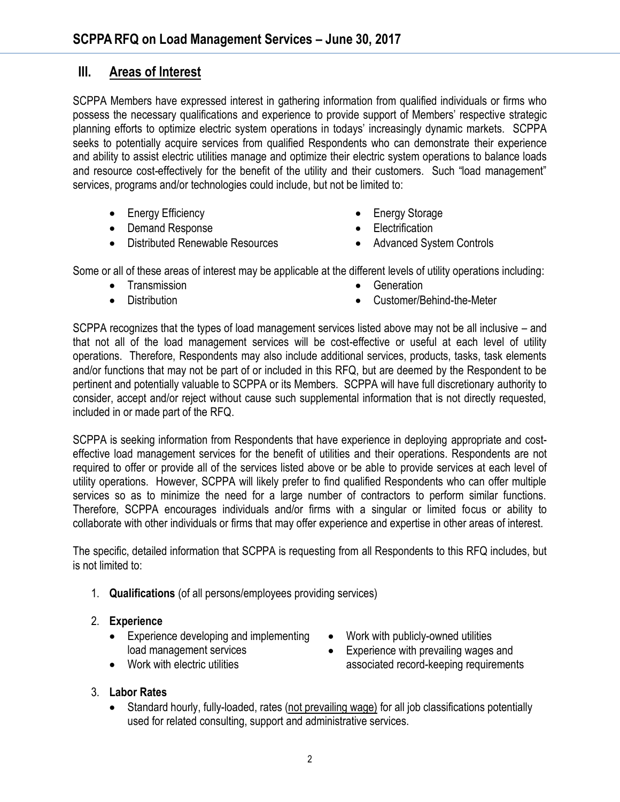## **III. Areas of Interest**

SCPPA Members have expressed interest in gathering information from qualified individuals or firms who possess the necessary qualifications and experience to provide support of Members' respective strategic planning efforts to optimize electric system operations in todays' increasingly dynamic markets. SCPPA seeks to potentially acquire services from qualified Respondents who can demonstrate their experience and ability to assist electric utilities manage and optimize their electric system operations to balance loads and resource cost-effectively for the benefit of the utility and their customers. Such "load management" services, programs and/or technologies could include, but not be limited to:

- Energy Efficiency
- Demand Response
- Distributed Renewable Resources
- Energy Storage
- **Electrification**
- Advanced System Controls

Some or all of these areas of interest may be applicable at the different levels of utility operations including:

- Transmission
- **•** Distribution
- **Generation**
- Customer/Behind-the-Meter

SCPPA recognizes that the types of load management services listed above may not be all inclusive – and that not all of the load management services will be cost-effective or useful at each level of utility operations. Therefore, Respondents may also include additional services, products, tasks, task elements and/or functions that may not be part of or included in this RFQ, but are deemed by the Respondent to be pertinent and potentially valuable to SCPPA or its Members. SCPPA will have full discretionary authority to consider, accept and/or reject without cause such supplemental information that is not directly requested, included in or made part of the RFQ.

SCPPA is seeking information from Respondents that have experience in deploying appropriate and costeffective load management services for the benefit of utilities and their operations. Respondents are not required to offer or provide all of the services listed above or be able to provide services at each level of utility operations. However, SCPPA will likely prefer to find qualified Respondents who can offer multiple services so as to minimize the need for a large number of contractors to perform similar functions. Therefore, SCPPA encourages individuals and/or firms with a singular or limited focus or ability to collaborate with other individuals or firms that may offer experience and expertise in other areas of interest.

The specific, detailed information that SCPPA is requesting from all Respondents to this RFQ includes, but is not limited to:

- 1. **Qualifications** (of all persons/employees providing services)
- 2. **Experience**
	- Experience developing and implementing load management services
	- Work with electric utilities
- Work with publicly-owned utilities
- Experience with prevailing wages and associated record-keeping requirements

- 3. **Labor Rates**
	- Standard hourly, fully-loaded, rates (not prevailing wage) for all job classifications potentially used for related consulting, support and administrative services.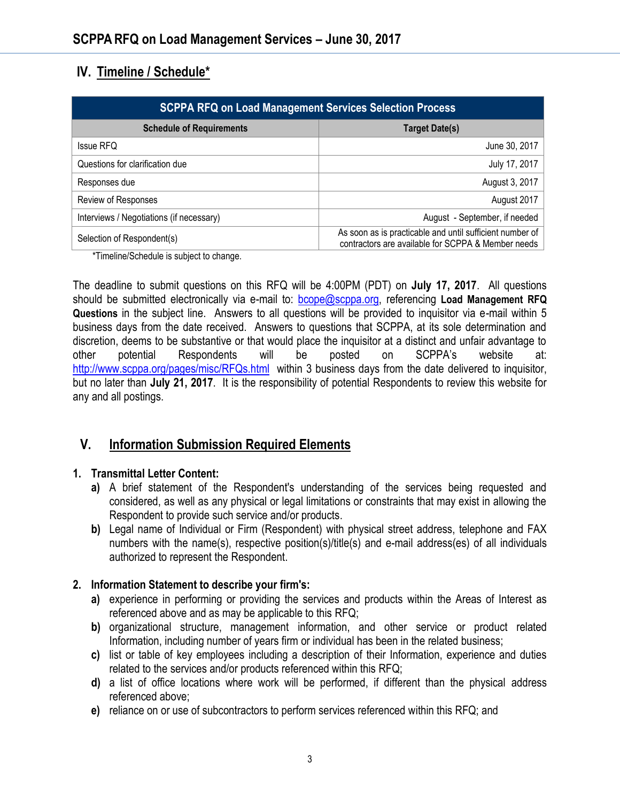## **IV. Timeline / Schedule\***

| <b>SCPPA RFQ on Load Management Services Selection Process</b> |                                                                                                                |
|----------------------------------------------------------------|----------------------------------------------------------------------------------------------------------------|
| <b>Schedule of Requirements</b>                                | <b>Target Date(s)</b>                                                                                          |
| <b>Issue RFQ</b>                                               | June 30, 2017                                                                                                  |
| Questions for clarification due                                | July 17, 2017                                                                                                  |
| Responses due                                                  | August 3, 2017                                                                                                 |
| Review of Responses                                            | August 2017                                                                                                    |
| Interviews / Negotiations (if necessary)                       | August - September, if needed                                                                                  |
| Selection of Respondent(s)                                     | As soon as is practicable and until sufficient number of<br>contractors are available for SCPPA & Member needs |

\*Timeline/Schedule is subject to change.

The deadline to submit questions on this RFQ will be 4:00PM (PDT) on **July 17, 2017**. All questions should be submitted electronically via e-mail to: [bcope@scppa.org,](file://///app-server/data/RFPs_RFQs_RFIs/Public%20Benefits%20Committee/Paperless%20Rebate%20Automation/RFP/bcope@scppa.org) referencing **Load Management RFQ Questions** in the subject line. Answers to all questions will be provided to inquisitor via e-mail within 5 business days from the date received. Answers to questions that SCPPA, at its sole determination and discretion, deems to be substantive or that would place the inquisitor at a distinct and unfair advantage to other potential Respondents will be posted on SCPPA's website [http://www.scppa.org/pages/misc/RFQs.html](http://www.scppa.org/pages/misc/RFPs.html) within 3 business days from the date delivered to inquisitor, but no later than **July 21, 2017**. It is the responsibility of potential Respondents to review this website for any and all postings.

## **V. Information Submission Required Elements**

#### **1. Transmittal Letter Content:**

- **a)** A brief statement of the Respondent's understanding of the services being requested and considered, as well as any physical or legal limitations or constraints that may exist in allowing the Respondent to provide such service and/or products.
- **b)** Legal name of Individual or Firm (Respondent) with physical street address, telephone and FAX numbers with the name(s), respective position(s)/title(s) and e-mail address(es) of all individuals authorized to represent the Respondent.

#### **2. Information Statement to describe your firm's:**

- **a)** experience in performing or providing the services and products within the Areas of Interest as referenced above and as may be applicable to this RFQ;
- **b)** organizational structure, management information, and other service or product related Information, including number of years firm or individual has been in the related business;
- **c)** list or table of key employees including a description of their Information, experience and duties related to the services and/or products referenced within this RFQ;
- **d)** a list of office locations where work will be performed, if different than the physical address referenced above;
- **e)** reliance on or use of subcontractors to perform services referenced within this RFQ; and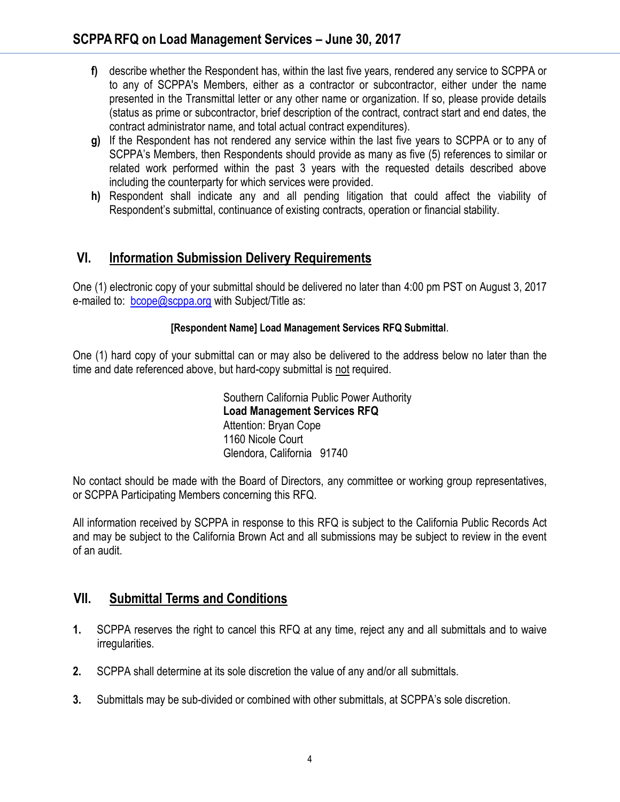- **f)** describe whether the Respondent has, within the last five years, rendered any service to SCPPA or to any of SCPPA's Members, either as a contractor or subcontractor, either under the name presented in the Transmittal letter or any other name or organization. If so, please provide details (status as prime or subcontractor, brief description of the contract, contract start and end dates, the contract administrator name, and total actual contract expenditures).
- **g)** If the Respondent has not rendered any service within the last five years to SCPPA or to any of SCPPA's Members, then Respondents should provide as many as five (5) references to similar or related work performed within the past 3 years with the requested details described above including the counterparty for which services were provided.
- **h)** Respondent shall indicate any and all pending litigation that could affect the viability of Respondent's submittal, continuance of existing contracts, operation or financial stability.

## **VI. Information Submission Delivery Requirements**

One (1) electronic copy of your submittal should be delivered no later than 4:00 pm PST on August 3, 2017 e-mailed to: [bcope@scppa.org](mailto:bcope@scppa.org) with Subject/Title as:

#### **[Respondent Name] Load Management Services RFQ Submittal**.

One (1) hard copy of your submittal can or may also be delivered to the address below no later than the time and date referenced above, but hard-copy submittal is not required.

> Southern California Public Power Authority **Load Management Services RFQ** Attention: Bryan Cope 1160 Nicole Court Glendora, California 91740

No contact should be made with the Board of Directors, any committee or working group representatives, or SCPPA Participating Members concerning this RFQ.

All information received by SCPPA in response to this RFQ is subject to the California Public Records Act and may be subject to the California Brown Act and all submissions may be subject to review in the event of an audit.

## **VII. Submittal Terms and Conditions**

- **1.** SCPPA reserves the right to cancel this RFQ at any time, reject any and all submittals and to waive irregularities.
- **2.** SCPPA shall determine at its sole discretion the value of any and/or all submittals.
- **3.** Submittals may be sub-divided or combined with other submittals, at SCPPA's sole discretion.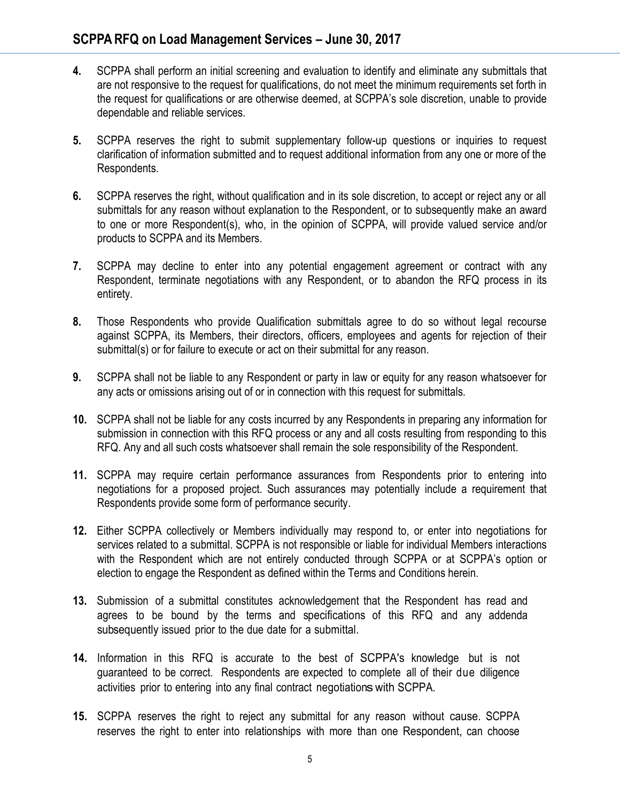- **4.** SCPPA shall perform an initial screening and evaluation to identify and eliminate any submittals that are not responsive to the request for qualifications, do not meet the minimum requirements set forth in the request for qualifications or are otherwise deemed, at SCPPA's sole discretion, unable to provide dependable and reliable services.
- **5.** SCPPA reserves the right to submit supplementary follow-up questions or inquiries to request clarification of information submitted and to request additional information from any one or more of the Respondents.
- **6.** SCPPA reserves the right, without qualification and in its sole discretion, to accept or reject any or all submittals for any reason without explanation to the Respondent, or to subsequently make an award to one or more Respondent(s), who, in the opinion of SCPPA, will provide valued service and/or products to SCPPA and its Members.
- **7.** SCPPA may decline to enter into any potential engagement agreement or contract with any Respondent, terminate negotiations with any Respondent, or to abandon the RFQ process in its entirety.
- **8.** Those Respondents who provide Qualification submittals agree to do so without legal recourse against SCPPA, its Members, their directors, officers, employees and agents for rejection of their submittal(s) or for failure to execute or act on their submittal for any reason.
- **9.** SCPPA shall not be liable to any Respondent or party in law or equity for any reason whatsoever for any acts or omissions arising out of or in connection with this request for submittals.
- **10.** SCPPA shall not be liable for any costs incurred by any Respondents in preparing any information for submission in connection with this RFQ process or any and all costs resulting from responding to this RFQ. Any and all such costs whatsoever shall remain the sole responsibility of the Respondent.
- **11.** SCPPA may require certain performance assurances from Respondents prior to entering into negotiations for a proposed project. Such assurances may potentially include a requirement that Respondents provide some form of performance security.
- **12.** Either SCPPA collectively or Members individually may respond to, or enter into negotiations for services related to a submittal. SCPPA is not responsible or liable for individual Members interactions with the Respondent which are not entirely conducted through SCPPA or at SCPPA's option or election to engage the Respondent as defined within the Terms and Conditions herein.
- **13.** Submission of a submittal constitutes acknowledgement that the Respondent has read and agrees to be bound by the terms and specifications of this RFQ and any addenda subsequently issued prior to the due date for a submittal.
- **14.** Information in this RFQ is accurate to the best of SCPPA's knowledge but is not guaranteed to be correct. Respondents are expected to complete all of their due diligence activities prior to entering into any final contract negotiations with SCPPA.
- **15.** SCPPA reserves the right to reject any submittal for any reason without cause. SCPPA reserves the right to enter into relationships with more than one Respondent, can choose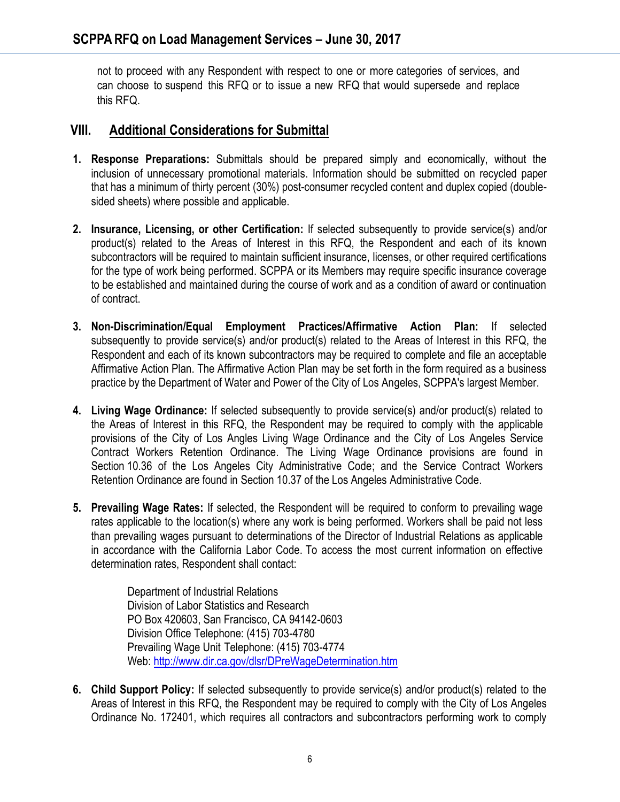not to proceed with any Respondent with respect to one or more categories of services, and can choose to suspend this RFQ or to issue a new RFQ that would supersede and replace this RFQ.

### **VIII. Additional Considerations for Submittal**

- **1. Response Preparations:** Submittals should be prepared simply and economically, without the inclusion of unnecessary promotional materials. Information should be submitted on recycled paper that has a minimum of thirty percent (30%) post-consumer recycled content and duplex copied (doublesided sheets) where possible and applicable.
- **2. Insurance, Licensing, or other Certification:** If selected subsequently to provide service(s) and/or product(s) related to the Areas of Interest in this RFQ, the Respondent and each of its known subcontractors will be required to maintain sufficient insurance, licenses, or other required certifications for the type of work being performed. SCPPA or its Members may require specific insurance coverage to be established and maintained during the course of work and as a condition of award or continuation of contract.
- **3. Non-Discrimination/Equal Employment Practices/Affirmative Action Plan:** If selected subsequently to provide service(s) and/or product(s) related to the Areas of Interest in this RFQ, the Respondent and each of its known subcontractors may be required to complete and file an acceptable Affirmative Action Plan. The Affirmative Action Plan may be set forth in the form required as a business practice by the Department of Water and Power of the City of Los Angeles, SCPPA's largest Member.
- **4. Living Wage Ordinance:** If selected subsequently to provide service(s) and/or product(s) related to the Areas of Interest in this RFQ, the Respondent may be required to comply with the applicable provisions of the City of Los Angles Living Wage Ordinance and the City of Los Angeles Service Contract Workers Retention Ordinance. The Living Wage Ordinance provisions are found in Section 10.36 of the Los Angeles City Administrative Code; and the Service Contract Workers Retention Ordinance are found in Section 10.37 of the Los Angeles Administrative Code.
- **5. Prevailing Wage Rates:** If selected, the Respondent will be required to conform to prevailing wage rates applicable to the location(s) where any work is being performed. Workers shall be paid not less than prevailing wages pursuant to determinations of the Director of Industrial Relations as applicable in accordance with the California Labor Code. To access the most current information on effective determination rates, Respondent shall contact:

Department of Industrial Relations Division of Labor Statistics and Research PO Box 420603, San Francisco, CA 94142-0603 Division Office Telephone: (415) 703-4780 Prevailing Wage Unit Telephone: (415) 703-4774 Web[: http://www.dir.ca.gov/dlsr/DPreWageDetermination.htm](http://www.dir.ca.gov/dlsr/DPreWageDetermination.htm)

**6. Child Support Policy:** If selected subsequently to provide service(s) and/or product(s) related to the Areas of Interest in this RFQ, the Respondent may be required to comply with the City of Los Angeles Ordinance No. 172401, which requires all contractors and subcontractors performing work to comply